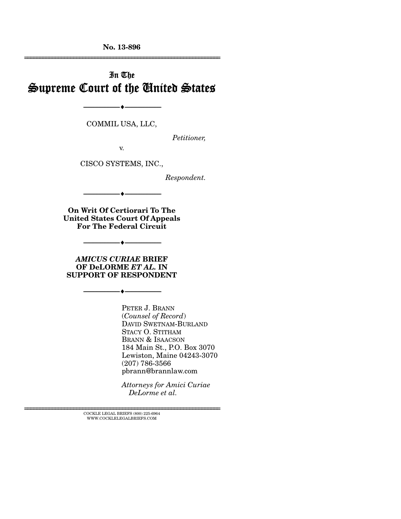**No. 13-896**  ================================================================

# In The Supreme Court of the United States

COMMIL USA, LLC,

--------------------------------- ---------------------------------

*Petitioner,* 

v.

CISCO SYSTEMS, INC.,

*Respondent.* 

**On Writ Of Certiorari To The United States Court Of Appeals For The Federal Circuit** 

--------------------------------- ---------------------------------

*AMICUS CURIAE* **BRIEF OF DeLORME** *ET AL.* **IN SUPPORT OF RESPONDENT** 

--------------------------------- ---------------------------------

--------------------------------- ---------------------------------

PETER J. BRANN (*Counsel of Record*) DAVID SWETNAM-BURLAND STACY O. STITHAM BRANN & ISAACSON 184 Main St., P.O. Box 3070 Lewiston, Maine 04243-3070 (207) 786-3566 pbrann@brannlaw.com

*Attorneys for Amici Curiae DeLorme et al.* 

 $\textsc{COCKLE}$  LEGAL BRIEFS (800) 225-6964 WWW.COCKLELEGALBRIEFS.COM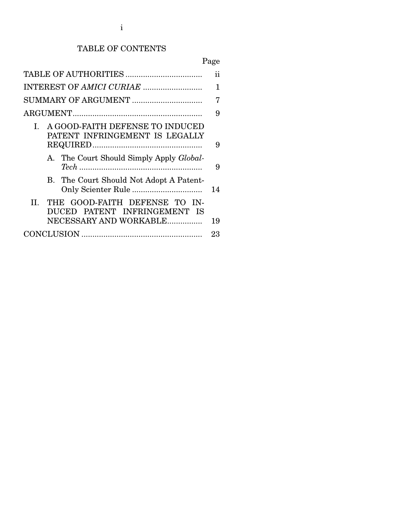# TABLE OF CONTENTS

# Page

|                                                                        | ii |  |
|------------------------------------------------------------------------|----|--|
|                                                                        | 1  |  |
| SUMMARY OF ARGUMENT                                                    | 7  |  |
|                                                                        |    |  |
| A GOOD-FAITH DEFENSE TO INDUCED<br>L<br>PATENT INFRINGEMENT IS LEGALLY | 9  |  |
| A. The Court Should Simply Apply Global-                               | 9  |  |
| B. The Court Should Not Adopt A Patent-                                | 14 |  |
| THE GOOD-FAITH DEFENSE TO IN-<br>H.<br>DUCED PATENT INFRINGEMENT IS    |    |  |
| NECESSARY AND WORKABLE                                                 | 19 |  |
|                                                                        | 23 |  |
|                                                                        |    |  |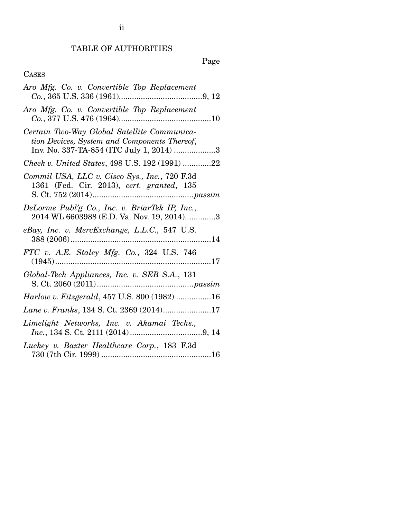# TABLE OF AUTHORITIES

# Page

# CASES

| Aro Mfg. Co. v. Convertible Top Replacement                                                                                             |
|-----------------------------------------------------------------------------------------------------------------------------------------|
| Aro Mfg. Co. v. Convertible Top Replacement                                                                                             |
| Certain Two-Way Global Satellite Communica-<br>tion Devices, System and Components Thereof,<br>Inv. No. 337-TA-854 (ITC July 1, 2014) 3 |
| Cheek v. United States, 498 U.S. 192 (1991) 22                                                                                          |
| Commil USA, LLC v. Cisco Sys., Inc., 720 F.3d<br>1361 (Fed. Cir. 2013), cert. granted, 135                                              |
| DeLorme Publ'g Co., Inc. v. BriarTek IP, Inc.,<br>2014 WL 6603988 (E.D. Va. Nov. 19, 2014)3                                             |
| eBay, Inc. v. MercExchange, L.L.C., 547 U.S.                                                                                            |
| FTC v. A.E. Staley Mfg. Co., 324 U.S. 746                                                                                               |
| Global-Tech Appliances, Inc. v. SEB S.A., 131                                                                                           |
| Harlow v. Fitzgerald, 457 U.S. 800 (1982) 16                                                                                            |
| Lane v. Franks, 134 S. Ct. 2369 (2014)17                                                                                                |
| Limelight Networks, Inc. v. Akamai Techs.,                                                                                              |
| Luckey v. Baxter Healthcare Corp., 183 F.3d                                                                                             |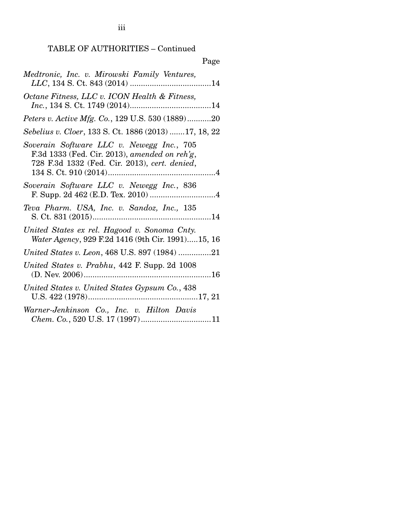# TABLE OF AUTHORITIES – Continued

| Page                                                                                                                                        |
|---------------------------------------------------------------------------------------------------------------------------------------------|
| Medtronic, Inc. v. Mirowski Family Ventures,                                                                                                |
| Octane Fitness, LLC v. ICON Health & Fitness,                                                                                               |
| Peters v. Active Mfg. Co., 129 U.S. 530 (1889)20                                                                                            |
| Sebelius v. Cloer, 133 S. Ct. 1886 (2013) 17, 18, 22                                                                                        |
| Soverain Software LLC v. Newegg Inc., 705<br>F.3d 1333 (Fed. Cir. 2013), amended on reh'g,<br>728 F.3d 1332 (Fed. Cir. 2013), cert. denied, |
| Soverain Software LLC v. Newegg Inc., 836                                                                                                   |
| Teva Pharm. USA, Inc. v. Sandoz, Inc., 135                                                                                                  |
| United States ex rel. Hagood v. Sonoma Cnty.<br>Water Agency, 929 F.2d 1416 (9th Cir. 1991)15, 16                                           |
| United States v. Leon, 468 U.S. 897 (1984) 21                                                                                               |
| United States v. Prabhu, 442 F. Supp. 2d 1008                                                                                               |
| United States v. United States Gypsum Co., 438                                                                                              |
| Warner-Jenkinson Co., Inc. v. Hilton Davis                                                                                                  |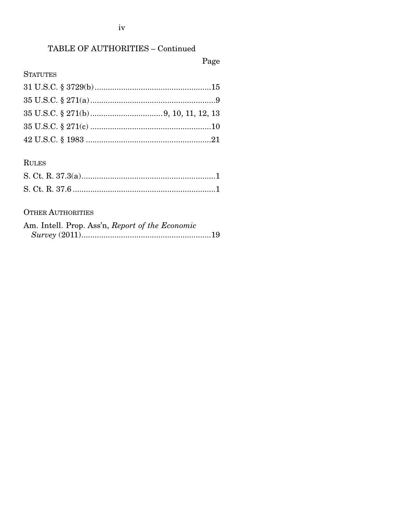# TABLE OF AUTHORITIES - Continued

# Page

## **STATUTES**

## **RULES**

### **OTHER AUTHORITIES**

| Am. Intell. Prop. Ass'n, Report of the Economic |  |
|-------------------------------------------------|--|
|                                                 |  |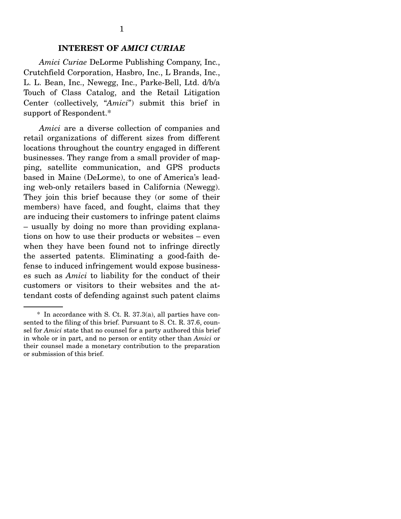### **INTEREST OF** *AMICI CURIAE*

*Amici Curiae* DeLorme Publishing Company, Inc., Crutchfield Corporation, Hasbro, Inc., L Brands, Inc., L. L. Bean, Inc., Newegg, Inc., Parke-Bell, Ltd. d/b/a Touch of Class Catalog, and the Retail Litigation Center (collectively, "*Amici*") submit this brief in support of Respondent.\*

*Amici* are a diverse collection of companies and retail organizations of different sizes from different locations throughout the country engaged in different businesses. They range from a small provider of mapping, satellite communication, and GPS products based in Maine (DeLorme), to one of America's leading web-only retailers based in California (Newegg). They join this brief because they (or some of their members) have faced, and fought, claims that they are inducing their customers to infringe patent claims – usually by doing no more than providing explanations on how to use their products or websites – even when they have been found not to infringe directly the asserted patents. Eliminating a good-faith defense to induced infringement would expose businesses such as *Amici* to liability for the conduct of their customers or visitors to their websites and the attendant costs of defending against such patent claims

 <sup>\*</sup> In accordance with S. Ct. R. 37.3(a), all parties have consented to the filing of this brief. Pursuant to S. Ct. R. 37.6, counsel for *Amici* state that no counsel for a party authored this brief in whole or in part, and no person or entity other than *Amici* or their counsel made a monetary contribution to the preparation or submission of this brief.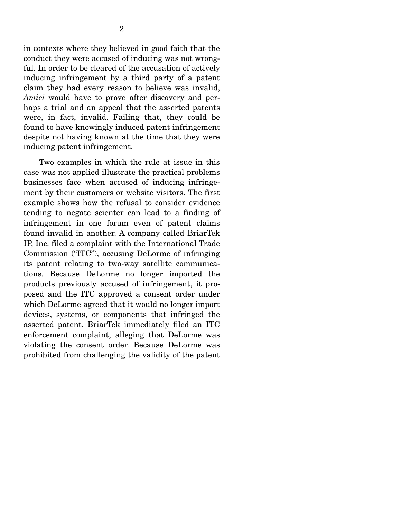in contexts where they believed in good faith that the conduct they were accused of inducing was not wrongful. In order to be cleared of the accusation of actively inducing infringement by a third party of a patent claim they had every reason to believe was invalid, *Amici* would have to prove after discovery and perhaps a trial and an appeal that the asserted patents were, in fact, invalid. Failing that, they could be found to have knowingly induced patent infringement despite not having known at the time that they were inducing patent infringement.

 Two examples in which the rule at issue in this case was not applied illustrate the practical problems businesses face when accused of inducing infringement by their customers or website visitors. The first example shows how the refusal to consider evidence tending to negate scienter can lead to a finding of infringement in one forum even of patent claims found invalid in another. A company called BriarTek IP, Inc. filed a complaint with the International Trade Commission ("ITC"), accusing DeLorme of infringing its patent relating to two-way satellite communications. Because DeLorme no longer imported the products previously accused of infringement, it proposed and the ITC approved a consent order under which DeLorme agreed that it would no longer import devices, systems, or components that infringed the asserted patent. BriarTek immediately filed an ITC enforcement complaint, alleging that DeLorme was violating the consent order. Because DeLorme was prohibited from challenging the validity of the patent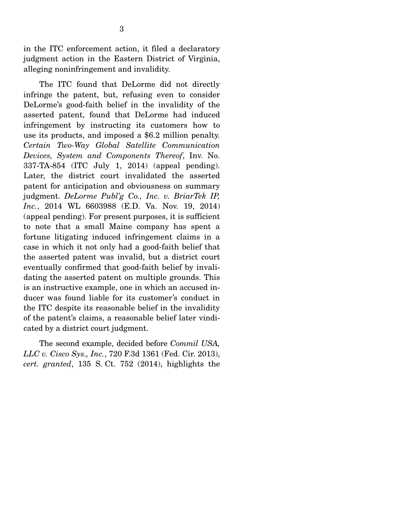in the ITC enforcement action, it filed a declaratory judgment action in the Eastern District of Virginia, alleging noninfringement and invalidity.

 The ITC found that DeLorme did not directly infringe the patent, but, refusing even to consider DeLorme's good-faith belief in the invalidity of the asserted patent, found that DeLorme had induced infringement by instructing its customers how to use its products, and imposed a \$6.2 million penalty. *Certain Two-Way Global Satellite Communication Devices, System and Components Thereof*, Inv. No. 337-TA-854 (ITC July 1, 2014) (appeal pending). Later, the district court invalidated the asserted patent for anticipation and obviousness on summary judgment. *DeLorme Publ'g Co., Inc. v. BriarTek IP, Inc.*, 2014 WL 6603988 (E.D. Va. Nov. 19, 2014) (appeal pending). For present purposes, it is sufficient to note that a small Maine company has spent a fortune litigating induced infringement claims in a case in which it not only had a good-faith belief that the asserted patent was invalid, but a district court eventually confirmed that good-faith belief by invalidating the asserted patent on multiple grounds. This is an instructive example, one in which an accused inducer was found liable for its customer's conduct in the ITC despite its reasonable belief in the invalidity of the patent's claims, a reasonable belief later vindicated by a district court judgment.

 The second example, decided before *Commil USA, LLC v. Cisco Sys., Inc.*, 720 F.3d 1361 (Fed. Cir. 2013), *cert. granted*, 135 S. Ct. 752 (2014), highlights the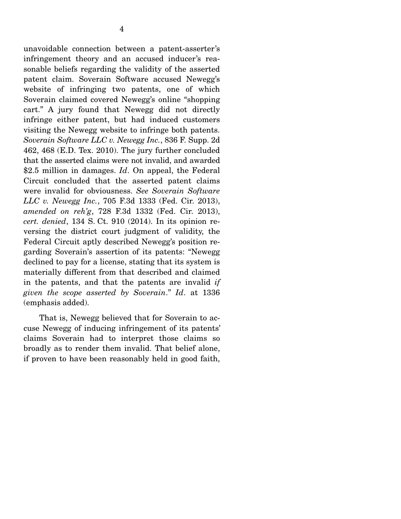unavoidable connection between a patent-asserter's infringement theory and an accused inducer's reasonable beliefs regarding the validity of the asserted patent claim. Soverain Software accused Newegg's website of infringing two patents, one of which Soverain claimed covered Newegg's online "shopping cart." A jury found that Newegg did not directly infringe either patent, but had induced customers visiting the Newegg website to infringe both patents. *Soverain Software LLC v. Newegg Inc.*, 836 F. Supp. 2d 462, 468 (E.D. Tex. 2010). The jury further concluded that the asserted claims were not invalid, and awarded \$2.5 million in damages. *Id*. On appeal, the Federal Circuit concluded that the asserted patent claims were invalid for obviousness. *See Soverain Software LLC v. Newegg Inc.*, 705 F.3d 1333 (Fed. Cir. 2013), *amended on reh'g*, 728 F.3d 1332 (Fed. Cir. 2013), *cert. denied*, 134 S. Ct. 910 (2014). In its opinion reversing the district court judgment of validity, the Federal Circuit aptly described Newegg's position regarding Soverain's assertion of its patents: "Newegg declined to pay for a license, stating that its system is materially different from that described and claimed in the patents, and that the patents are invalid *if given the scope asserted by Soverain*." *Id*. at 1336 (emphasis added).

 That is, Newegg believed that for Soverain to accuse Newegg of inducing infringement of its patents' claims Soverain had to interpret those claims so broadly as to render them invalid. That belief alone, if proven to have been reasonably held in good faith,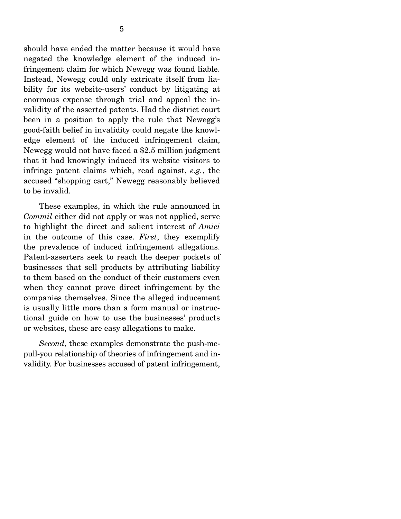should have ended the matter because it would have negated the knowledge element of the induced infringement claim for which Newegg was found liable. Instead, Newegg could only extricate itself from liability for its website-users' conduct by litigating at enormous expense through trial and appeal the invalidity of the asserted patents. Had the district court been in a position to apply the rule that Newegg's good-faith belief in invalidity could negate the knowledge element of the induced infringement claim, Newegg would not have faced a \$2.5 million judgment that it had knowingly induced its website visitors to infringe patent claims which, read against, *e.g.*, the accused "shopping cart," Newegg reasonably believed to be invalid.

 These examples, in which the rule announced in *Commil* either did not apply or was not applied, serve to highlight the direct and salient interest of *Amici* in the outcome of this case. *First*, they exemplify the prevalence of induced infringement allegations. Patent-asserters seek to reach the deeper pockets of businesses that sell products by attributing liability to them based on the conduct of their customers even when they cannot prove direct infringement by the companies themselves. Since the alleged inducement is usually little more than a form manual or instructional guide on how to use the businesses' products or websites, these are easy allegations to make.

*Second*, these examples demonstrate the push-mepull-you relationship of theories of infringement and invalidity. For businesses accused of patent infringement,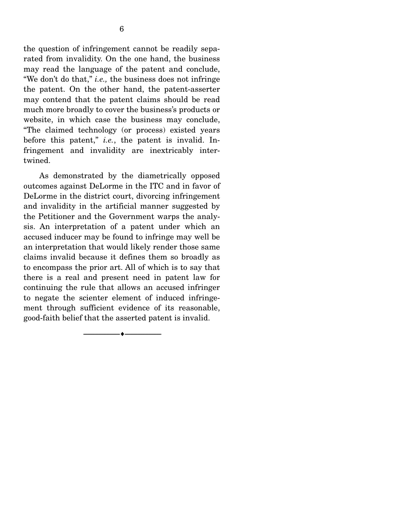the question of infringement cannot be readily separated from invalidity. On the one hand, the business may read the language of the patent and conclude, "We don't do that," *i.e.,* the business does not infringe the patent. On the other hand, the patent-asserter may contend that the patent claims should be read much more broadly to cover the business's products or website, in which case the business may conclude, "The claimed technology (or process) existed years before this patent," *i.e.*, the patent is invalid. Infringement and invalidity are inextricably intertwined.

 As demonstrated by the diametrically opposed outcomes against DeLorme in the ITC and in favor of DeLorme in the district court, divorcing infringement and invalidity in the artificial manner suggested by the Petitioner and the Government warps the analysis. An interpretation of a patent under which an accused inducer may be found to infringe may well be an interpretation that would likely render those same claims invalid because it defines them so broadly as to encompass the prior art. All of which is to say that there is a real and present need in patent law for continuing the rule that allows an accused infringer to negate the scienter element of induced infringement through sufficient evidence of its reasonable, good-faith belief that the asserted patent is invalid.

--------------------------------- ---------------------------------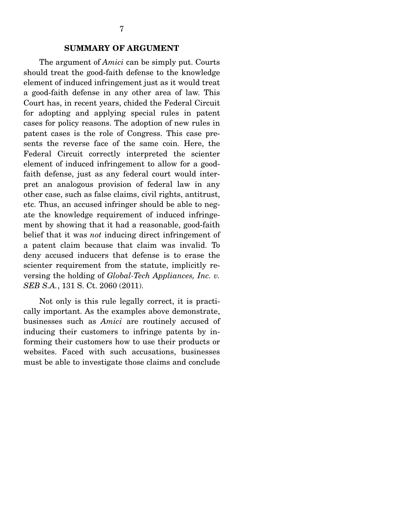#### **SUMMARY OF ARGUMENT**

 The argument of *Amici* can be simply put. Courts should treat the good-faith defense to the knowledge element of induced infringement just as it would treat a good-faith defense in any other area of law. This Court has, in recent years, chided the Federal Circuit for adopting and applying special rules in patent cases for policy reasons. The adoption of new rules in patent cases is the role of Congress. This case presents the reverse face of the same coin. Here, the Federal Circuit correctly interpreted the scienter element of induced infringement to allow for a goodfaith defense, just as any federal court would interpret an analogous provision of federal law in any other case, such as false claims, civil rights, antitrust, etc. Thus, an accused infringer should be able to negate the knowledge requirement of induced infringement by showing that it had a reasonable, good-faith belief that it was *not* inducing direct infringement of a patent claim because that claim was invalid. To deny accused inducers that defense is to erase the scienter requirement from the statute, implicitly reversing the holding of *Global-Tech Appliances, Inc. v. SEB S.A.*, 131 S. Ct. 2060 (2011).

 Not only is this rule legally correct, it is practically important. As the examples above demonstrate, businesses such as *Amici* are routinely accused of inducing their customers to infringe patents by informing their customers how to use their products or websites. Faced with such accusations, businesses must be able to investigate those claims and conclude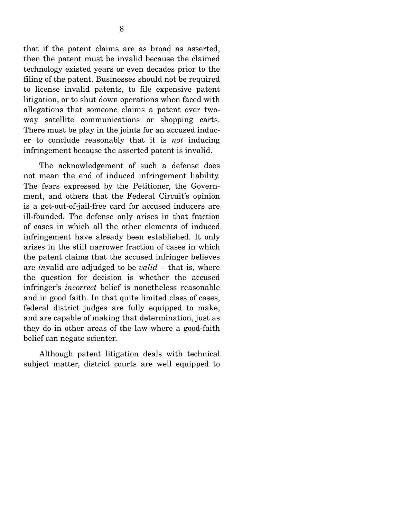that if the patent claims are as broad as asserted, then the patent must be invalid because the claimed technology existed years or even decades prior to the filing of the patent. Businesses should not be required to license invalid patents, to file expensive patent litigation, or to shut down operations when faced with allegations that someone claims a patent over twoway satellite communications or shopping carts. There must be play in the joints for an accused inducer to conclude reasonably that it is *not* inducing infringement because the asserted patent is invalid.

 The acknowledgement of such a defense does not mean the end of induced infringement liability. The fears expressed by the Petitioner, the Government, and others that the Federal Circuit's opinion is a get-out-of-jail-free card for accused inducers are ill-founded. The defense only arises in that fraction of cases in which all the other elements of induced infringement have already been established. It only arises in the still narrower fraction of cases in which the patent claims that the accused infringer believes are *in*valid are adjudged to be *valid* – that is, where the question for decision is whether the accused infringer's *incorrect* belief is nonetheless reasonable and in good faith. In that quite limited class of cases, federal district judges are fully equipped to make, and are capable of making that determination, just as they do in other areas of the law where a good-faith belief can negate scienter.

 Although patent litigation deals with technical subject matter, district courts are well equipped to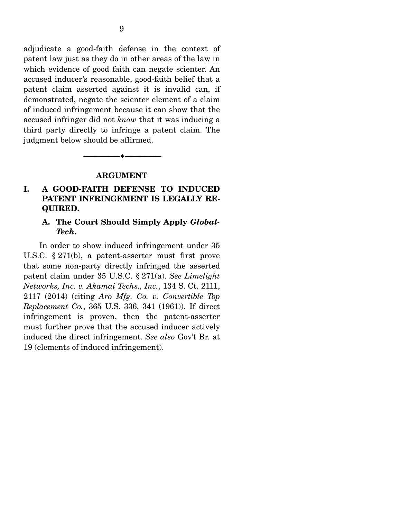adjudicate a good-faith defense in the context of patent law just as they do in other areas of the law in which evidence of good faith can negate scienter. An accused inducer's reasonable, good-faith belief that a patent claim asserted against it is invalid can, if demonstrated, negate the scienter element of a claim of induced infringement because it can show that the accused infringer did not *know* that it was inducing a third party directly to infringe a patent claim. The judgment below should be affirmed.

#### **ARGUMENT**

--------------------------------- ---------------------------------

### **I. A GOOD-FAITH DEFENSE TO INDUCED PATENT INFRINGEMENT IS LEGALLY RE-QUIRED.**

### **A. The Court Should Simply Apply** *Global-Tech***.**

 In order to show induced infringement under 35 U.S.C. § 271(b), a patent-asserter must first prove that some non-party directly infringed the asserted patent claim under 35 U.S.C. § 271(a). *See Limelight Networks, Inc. v. Akamai Techs., Inc.*, 134 S. Ct. 2111, 2117 (2014) (citing *Aro Mfg. Co. v. Convertible Top Replacement Co.*, 365 U.S. 336, 341 (1961)). If direct infringement is proven, then the patent-asserter must further prove that the accused inducer actively induced the direct infringement. *See also* Gov't Br. at 19 (elements of induced infringement).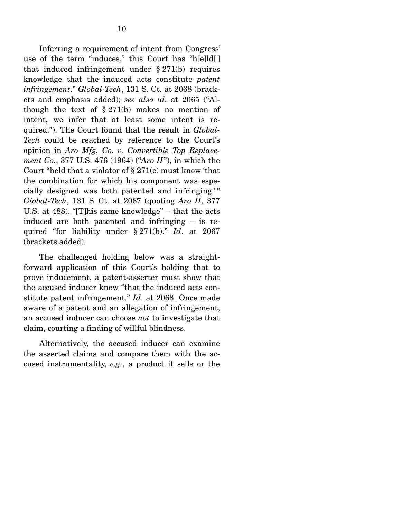Inferring a requirement of intent from Congress' use of the term "induces," this Court has "h[e]ld[ ] that induced infringement under  $\S 271(b)$  requires knowledge that the induced acts constitute *patent infringement*." *Global-Tech*, 131 S. Ct. at 2068 (brackets and emphasis added); *see also id*. at 2065 ("Although the text of  $\S 271(b)$  makes no mention of intent, we infer that at least some intent is required."). The Court found that the result in *Global-Tech* could be reached by reference to the Court's opinion in *Aro Mfg. Co. v. Convertible Top Replacement Co.*, 377 U.S. 476 (1964) ("*Aro II*"), in which the Court "held that a violator of  $\S 271(c)$  must know 'that the combination for which his component was especially designed was both patented and infringing.'" *Global-Tech*, 131 S. Ct. at 2067 (quoting *Aro II*, 377 U.S. at 488). "[T]his same knowledge" – that the acts induced are both patented and infringing – is required "for liability under § 271(b)." *Id*. at 2067 (brackets added).

 The challenged holding below was a straightforward application of this Court's holding that to prove inducement, a patent-asserter must show that the accused inducer knew "that the induced acts constitute patent infringement." *Id*. at 2068. Once made aware of a patent and an allegation of infringement, an accused inducer can choose *not* to investigate that claim, courting a finding of willful blindness.

 Alternatively, the accused inducer can examine the asserted claims and compare them with the accused instrumentality, *e.g.*, a product it sells or the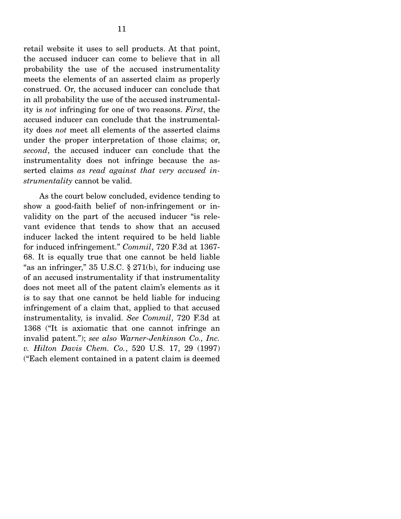retail website it uses to sell products. At that point, the accused inducer can come to believe that in all probability the use of the accused instrumentality meets the elements of an asserted claim as properly construed. Or, the accused inducer can conclude that in all probability the use of the accused instrumentality is *not* infringing for one of two reasons. *First*, the accused inducer can conclude that the instrumentality does *not* meet all elements of the asserted claims under the proper interpretation of those claims; or, *second*, the accused inducer can conclude that the instrumentality does not infringe because the asserted claims *as read against that very accused instrumentality* cannot be valid.

 As the court below concluded, evidence tending to show a good-faith belief of non-infringement or invalidity on the part of the accused inducer "is relevant evidence that tends to show that an accused inducer lacked the intent required to be held liable for induced infringement." *Commil*, 720 F.3d at 1367- 68. It is equally true that one cannot be held liable "as an infringer,"  $35 \text{ U.S.C.}$   $\S 271(b)$ , for inducing use of an accused instrumentality if that instrumentality does not meet all of the patent claim's elements as it is to say that one cannot be held liable for inducing infringement of a claim that, applied to that accused instrumentality, is invalid. *See Commil*, 720 F.3d at 1368 ("It is axiomatic that one cannot infringe an invalid patent."); *see also Warner-Jenkinson Co., Inc. v. Hilton Davis Chem. Co.*, 520 U.S. 17, 29 (1997) ("Each element contained in a patent claim is deemed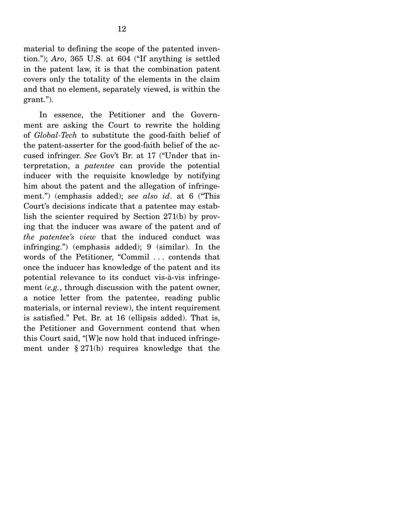material to defining the scope of the patented invention."); *Aro*, 365 U.S. at 604 ("If anything is settled in the patent law, it is that the combination patent covers only the totality of the elements in the claim and that no element, separately viewed, is within the grant.").

 In essence, the Petitioner and the Government are asking the Court to rewrite the holding of *Global-Tech* to substitute the good-faith belief of the patent-asserter for the good-faith belief of the accused infringer. *See* Gov't Br. at 17 ("Under that interpretation, a *patentee* can provide the potential inducer with the requisite knowledge by notifying him about the patent and the allegation of infringement.") (emphasis added); *see also id*. at 6 ("This Court's decisions indicate that a patentee may establish the scienter required by Section 271(b) by proving that the inducer was aware of the patent and of *the patentee's view* that the induced conduct was infringing.") (emphasis added); 9 (similar). In the words of the Petitioner, "Commil . . . contends that once the inducer has knowledge of the patent and its potential relevance to its conduct vis-à-vis infringement (*e.g.*, through discussion with the patent owner, a notice letter from the patentee, reading public materials, or internal review), the intent requirement is satisfied." Pet. Br. at 16 (ellipsis added). That is, the Petitioner and Government contend that when this Court said, "[W]e now hold that induced infringement under § 271(b) requires knowledge that the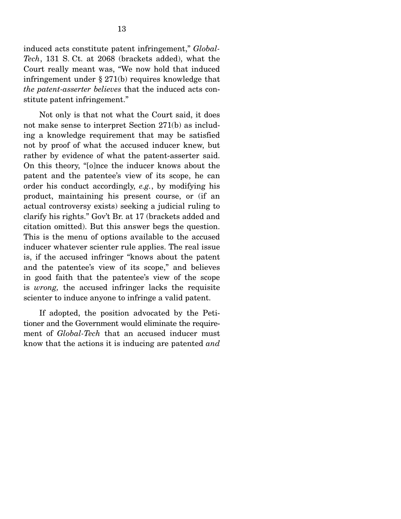induced acts constitute patent infringement," *Global-Tech*, 131 S. Ct. at 2068 (brackets added), what the Court really meant was, "We now hold that induced infringement under § 271(b) requires knowledge that *the patent-asserter believes* that the induced acts constitute patent infringement."

 Not only is that not what the Court said, it does not make sense to interpret Section 271(b) as including a knowledge requirement that may be satisfied not by proof of what the accused inducer knew, but rather by evidence of what the patent-asserter said. On this theory, "[o]nce the inducer knows about the patent and the patentee's view of its scope, he can order his conduct accordingly, *e.g.*, by modifying his product, maintaining his present course, or (if an actual controversy exists) seeking a judicial ruling to clarify his rights." Gov't Br. at 17 (brackets added and citation omitted). But this answer begs the question. This is the menu of options available to the accused inducer whatever scienter rule applies. The real issue is, if the accused infringer "knows about the patent and the patentee's view of its scope," and believes in good faith that the patentee's view of the scope is *wrong,* the accused infringer lacks the requisite scienter to induce anyone to infringe a valid patent.

 If adopted, the position advocated by the Petitioner and the Government would eliminate the requirement of *Global-Tech* that an accused inducer must know that the actions it is inducing are patented *and*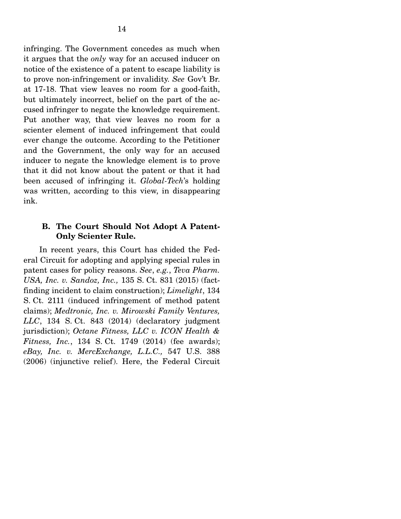infringing. The Government concedes as much when it argues that the *only* way for an accused inducer on notice of the existence of a patent to escape liability is to prove non-infringement or invalidity. *See* Gov't Br. at 17-18. That view leaves no room for a good-faith, but ultimately incorrect, belief on the part of the accused infringer to negate the knowledge requirement. Put another way, that view leaves no room for a scienter element of induced infringement that could ever change the outcome. According to the Petitioner and the Government, the only way for an accused inducer to negate the knowledge element is to prove that it did not know about the patent or that it had been accused of infringing it. *Global-Tech*'s holding was written, according to this view, in disappearing ink.

### **B. The Court Should Not Adopt A Patent-Only Scienter Rule.**

 In recent years, this Court has chided the Federal Circuit for adopting and applying special rules in patent cases for policy reasons. *See*, *e.g.*, *Teva Pharm. USA, Inc. v. Sandoz, Inc.,* 135 S. Ct. 831 (2015) (factfinding incident to claim construction); *Limelight*, 134 S. Ct. 2111 (induced infringement of method patent claims); *Medtronic, Inc. v. Mirowski Family Ventures, LLC*, 134 S. Ct. 843 (2014) (declaratory judgment jurisdiction); *Octane Fitness, LLC v. ICON Health & Fitness, Inc.*, 134 S. Ct. 1749 (2014) (fee awards); *eBay, Inc. v. MercExchange, L.L.C.,* 547 U.S. 388 (2006) (injunctive relief). Here, the Federal Circuit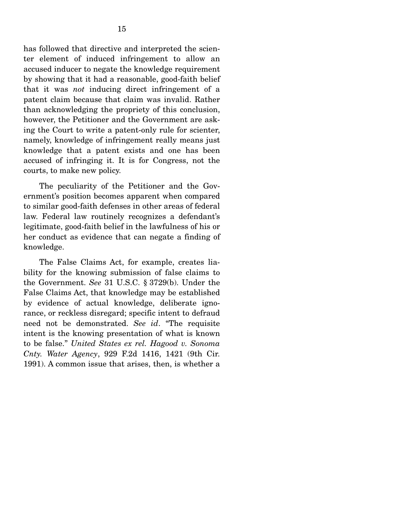has followed that directive and interpreted the scienter element of induced infringement to allow an accused inducer to negate the knowledge requirement by showing that it had a reasonable, good-faith belief that it was *not* inducing direct infringement of a patent claim because that claim was invalid. Rather than acknowledging the propriety of this conclusion, however, the Petitioner and the Government are asking the Court to write a patent-only rule for scienter, namely, knowledge of infringement really means just knowledge that a patent exists and one has been accused of infringing it. It is for Congress, not the courts, to make new policy.

 The peculiarity of the Petitioner and the Government's position becomes apparent when compared to similar good-faith defenses in other areas of federal law. Federal law routinely recognizes a defendant's legitimate, good-faith belief in the lawfulness of his or her conduct as evidence that can negate a finding of knowledge.

 The False Claims Act, for example, creates liability for the knowing submission of false claims to the Government. *See* 31 U.S.C. § 3729(b). Under the False Claims Act, that knowledge may be established by evidence of actual knowledge, deliberate ignorance, or reckless disregard; specific intent to defraud need not be demonstrated. *See id*. "The requisite intent is the knowing presentation of what is known to be false." *United States ex rel. Hagood v. Sonoma Cnty. Water Agency*, 929 F.2d 1416, 1421 (9th Cir. 1991). A common issue that arises, then, is whether a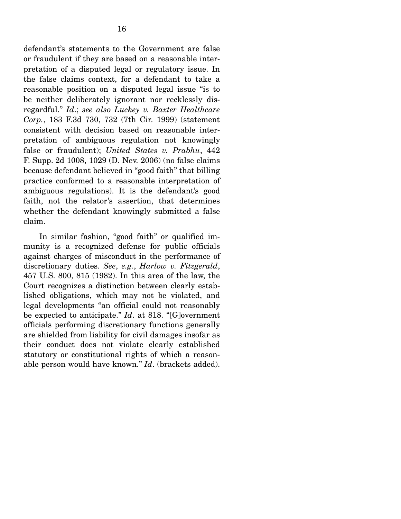defendant's statements to the Government are false or fraudulent if they are based on a reasonable interpretation of a disputed legal or regulatory issue. In the false claims context, for a defendant to take a reasonable position on a disputed legal issue "is to be neither deliberately ignorant nor recklessly disregardful." *Id*.; *see also Luckey v. Baxter Healthcare Corp.*, 183 F.3d 730, 732 (7th Cir. 1999) (statement consistent with decision based on reasonable interpretation of ambiguous regulation not knowingly false or fraudulent); *United States v. Prabhu*, 442 F. Supp. 2d 1008, 1029 (D. Nev. 2006) (no false claims because defendant believed in "good faith" that billing practice conformed to a reasonable interpretation of ambiguous regulations). It is the defendant's good faith, not the relator's assertion, that determines whether the defendant knowingly submitted a false claim.

 In similar fashion, "good faith" or qualified immunity is a recognized defense for public officials against charges of misconduct in the performance of discretionary duties. *See*, *e.g.*, *Harlow v. Fitzgerald*, 457 U.S. 800, 815 (1982). In this area of the law, the Court recognizes a distinction between clearly established obligations, which may not be violated, and legal developments "an official could not reasonably be expected to anticipate." *Id*. at 818. "[G]overnment officials performing discretionary functions generally are shielded from liability for civil damages insofar as their conduct does not violate clearly established statutory or constitutional rights of which a reasonable person would have known." *Id*. (brackets added).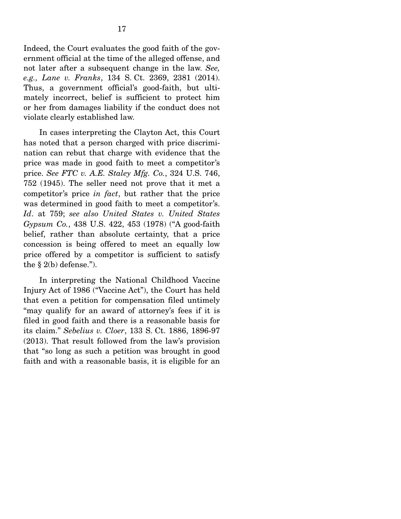Indeed, the Court evaluates the good faith of the government official at the time of the alleged offense, and not later after a subsequent change in the law. *See, e.g., Lane v. Franks*, 134 S. Ct. 2369, 2381 (2014). Thus, a government official's good-faith, but ultimately incorrect, belief is sufficient to protect him or her from damages liability if the conduct does not violate clearly established law.

 In cases interpreting the Clayton Act, this Court has noted that a person charged with price discrimination can rebut that charge with evidence that the price was made in good faith to meet a competitor's price. *See FTC v. A.E. Staley Mfg. Co.*, 324 U.S. 746, 752 (1945). The seller need not prove that it met a competitor's price *in fact*, but rather that the price was determined in good faith to meet a competitor's. *Id*. at 759; *see also United States v. United States Gypsum Co.*, 438 U.S. 422, 453 (1978) ("A good-faith belief, rather than absolute certainty, that a price concession is being offered to meet an equally low price offered by a competitor is sufficient to satisfy the  $\S$  2(b) defense.").

 In interpreting the National Childhood Vaccine Injury Act of 1986 ("Vaccine Act"), the Court has held that even a petition for compensation filed untimely "may qualify for an award of attorney's fees if it is filed in good faith and there is a reasonable basis for its claim." *Sebelius v. Cloer*, 133 S. Ct. 1886, 1896-97 (2013). That result followed from the law's provision that "so long as such a petition was brought in good faith and with a reasonable basis, it is eligible for an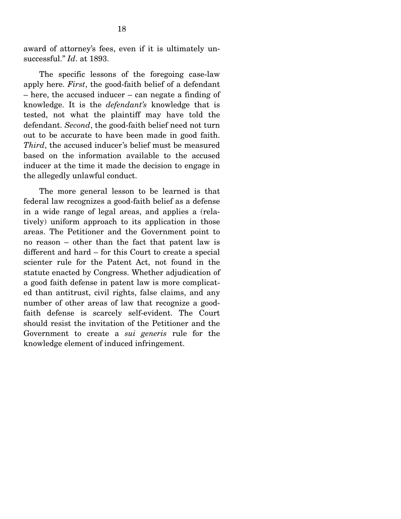award of attorney's fees, even if it is ultimately unsuccessful." *Id*. at 1893.

 The specific lessons of the foregoing case-law apply here. *First*, the good-faith belief of a defendant – here, the accused inducer – can negate a finding of knowledge. It is the *defendant's* knowledge that is tested, not what the plaintiff may have told the defendant. *Second*, the good-faith belief need not turn out to be accurate to have been made in good faith. *Third*, the accused inducer's belief must be measured based on the information available to the accused inducer at the time it made the decision to engage in the allegedly unlawful conduct.

 The more general lesson to be learned is that federal law recognizes a good-faith belief as a defense in a wide range of legal areas, and applies a (relatively) uniform approach to its application in those areas. The Petitioner and the Government point to no reason – other than the fact that patent law is different and hard – for this Court to create a special scienter rule for the Patent Act, not found in the statute enacted by Congress. Whether adjudication of a good faith defense in patent law is more complicated than antitrust, civil rights, false claims, and any number of other areas of law that recognize a goodfaith defense is scarcely self-evident. The Court should resist the invitation of the Petitioner and the Government to create a *sui generis* rule for the knowledge element of induced infringement.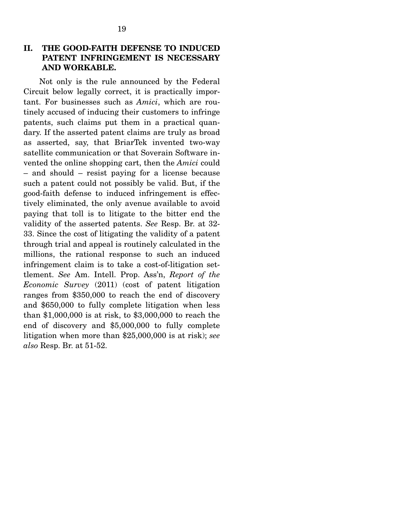### **II. THE GOOD-FAITH DEFENSE TO INDUCED PATENT INFRINGEMENT IS NECESSARY AND WORKABLE.**

 Not only is the rule announced by the Federal Circuit below legally correct, it is practically important. For businesses such as *Amici*, which are routinely accused of inducing their customers to infringe patents, such claims put them in a practical quandary. If the asserted patent claims are truly as broad as asserted, say, that BriarTek invented two-way satellite communication or that Soverain Software invented the online shopping cart, then the *Amici* could – and should – resist paying for a license because such a patent could not possibly be valid. But, if the good-faith defense to induced infringement is effectively eliminated, the only avenue available to avoid paying that toll is to litigate to the bitter end the validity of the asserted patents. *See* Resp. Br. at 32- 33. Since the cost of litigating the validity of a patent through trial and appeal is routinely calculated in the millions, the rational response to such an induced infringement claim is to take a cost-of-litigation settlement. *See* Am. Intell. Prop. Ass'n, *Report of the Economic Survey* (2011) (cost of patent litigation ranges from \$350,000 to reach the end of discovery and \$650,000 to fully complete litigation when less than \$1,000,000 is at risk, to \$3,000,000 to reach the end of discovery and \$5,000,000 to fully complete litigation when more than \$25,000,000 is at risk); *see also* Resp. Br. at 51-52.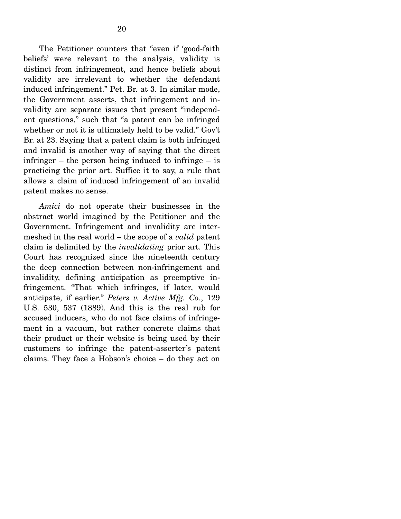The Petitioner counters that "even if 'good-faith beliefs' were relevant to the analysis, validity is distinct from infringement, and hence beliefs about validity are irrelevant to whether the defendant induced infringement." Pet. Br. at 3. In similar mode, the Government asserts, that infringement and invalidity are separate issues that present "independent questions," such that "a patent can be infringed whether or not it is ultimately held to be valid." Gov't Br. at 23. Saying that a patent claim is both infringed and invalid is another way of saying that the direct infringer – the person being induced to infringe – is practicing the prior art. Suffice it to say, a rule that allows a claim of induced infringement of an invalid patent makes no sense.

*Amici* do not operate their businesses in the abstract world imagined by the Petitioner and the Government. Infringement and invalidity are intermeshed in the real world – the scope of a *valid* patent claim is delimited by the *invalidating* prior art. This Court has recognized since the nineteenth century the deep connection between non-infringement and invalidity, defining anticipation as preemptive infringement. "That which infringes, if later, would anticipate, if earlier." *Peters v. Active Mfg. Co.*, 129 U.S. 530, 537 (1889). And this is the real rub for accused inducers, who do not face claims of infringement in a vacuum, but rather concrete claims that their product or their website is being used by their customers to infringe the patent-asserter's patent claims. They face a Hobson's choice – do they act on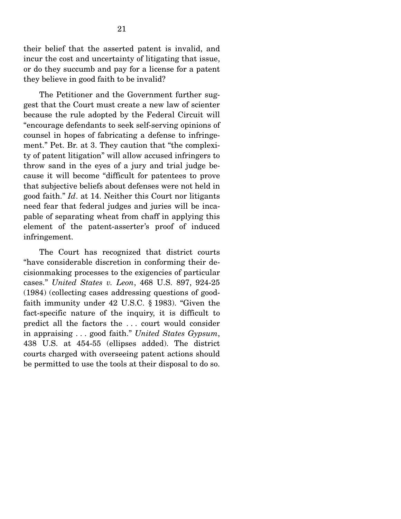their belief that the asserted patent is invalid, and incur the cost and uncertainty of litigating that issue, or do they succumb and pay for a license for a patent they believe in good faith to be invalid?

 The Petitioner and the Government further suggest that the Court must create a new law of scienter because the rule adopted by the Federal Circuit will "encourage defendants to seek self-serving opinions of counsel in hopes of fabricating a defense to infringement." Pet. Br. at 3. They caution that "the complexity of patent litigation" will allow accused infringers to throw sand in the eyes of a jury and trial judge because it will become "difficult for patentees to prove that subjective beliefs about defenses were not held in good faith." *Id*. at 14. Neither this Court nor litigants need fear that federal judges and juries will be incapable of separating wheat from chaff in applying this element of the patent-asserter's proof of induced infringement.

 The Court has recognized that district courts "have considerable discretion in conforming their decisionmaking processes to the exigencies of particular cases." *United States v. Leon*, 468 U.S. 897, 924-25 (1984) (collecting cases addressing questions of goodfaith immunity under 42 U.S.C. § 1983). "Given the fact-specific nature of the inquiry, it is difficult to predict all the factors the . . . court would consider in appraising . . . good faith." *United States Gypsum*, 438 U.S. at 454-55 (ellipses added). The district courts charged with overseeing patent actions should be permitted to use the tools at their disposal to do so.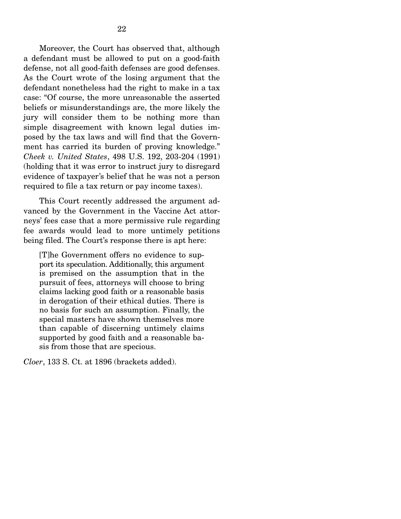Moreover, the Court has observed that, although a defendant must be allowed to put on a good-faith defense, not all good-faith defenses are good defenses. As the Court wrote of the losing argument that the defendant nonetheless had the right to make in a tax case: "Of course, the more unreasonable the asserted beliefs or misunderstandings are, the more likely the jury will consider them to be nothing more than simple disagreement with known legal duties imposed by the tax laws and will find that the Government has carried its burden of proving knowledge." *Cheek v. United States*, 498 U.S. 192, 203-204 (1991) (holding that it was error to instruct jury to disregard evidence of taxpayer's belief that he was not a person required to file a tax return or pay income taxes).

 This Court recently addressed the argument advanced by the Government in the Vaccine Act attorneys' fees case that a more permissive rule regarding fee awards would lead to more untimely petitions being filed. The Court's response there is apt here:

[T]he Government offers no evidence to support its speculation. Additionally, this argument is premised on the assumption that in the pursuit of fees, attorneys will choose to bring claims lacking good faith or a reasonable basis in derogation of their ethical duties. There is no basis for such an assumption. Finally, the special masters have shown themselves more than capable of discerning untimely claims supported by good faith and a reasonable basis from those that are specious.

*Cloer*, 133 S. Ct. at 1896 (brackets added).